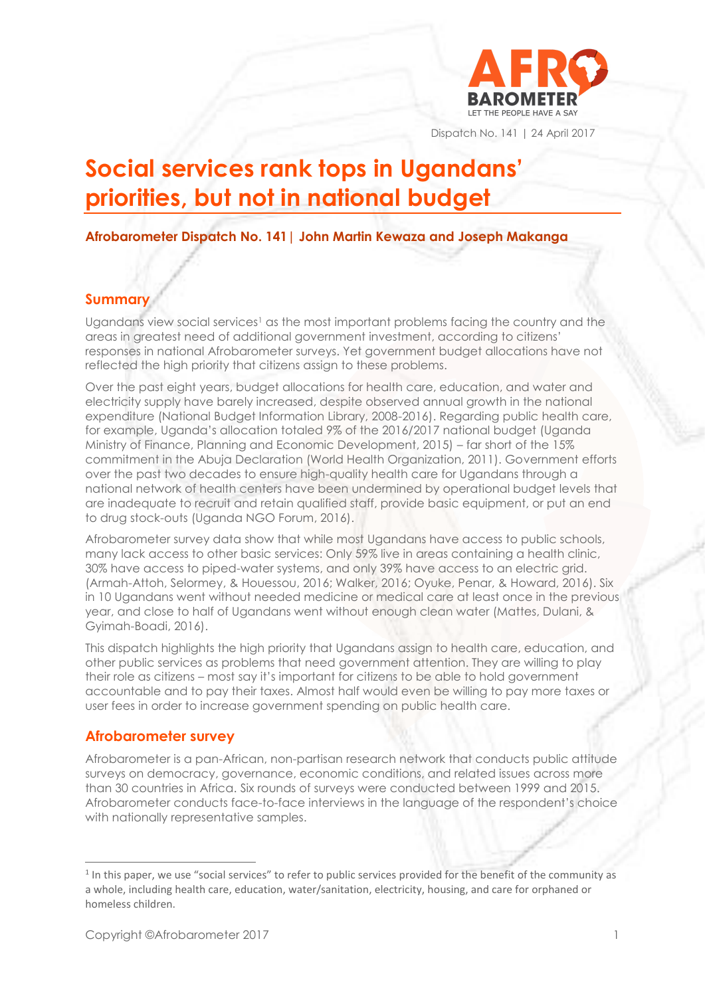

Dispatch No. 141 | 24 April 2017

# **Social services rank tops in Ugandans' priorities, but not in national budget**

**Afrobarometer Dispatch No. 141| John Martin Kewaza and Joseph Makanga**

#### **Summary**

Ugandans view social services<sup>1</sup> as the most important problems facing the country and the areas in greatest need of additional government investment, according to citizens' responses in national Afrobarometer surveys. Yet government budget allocations have not reflected the high priority that citizens assign to these problems.

Over the past eight years, budget allocations for health care, education, and water and electricity supply have barely increased, despite observed annual growth in the national expenditure (National Budget Information Library, 2008-2016). Regarding public health care, for example, Uganda's allocation totaled 9% of the 2016/2017 national budget (Uganda Ministry of Finance, Planning and Economic Development, 2015) – far short of the 15% commitment in the Abuja Declaration (World Health Organization, 2011). Government efforts over the past two decades to ensure high-quality health care for Ugandans through a national network of health centers have been undermined by operational budget levels that are inadequate to recruit and retain qualified staff, provide basic equipment, or put an end to drug stock-outs (Uganda NGO Forum, 2016).

Afrobarometer survey data show that while most Ugandans have access to public schools, many lack access to other basic services: Only 59% live in areas containing a health clinic, 30% have access to piped-water systems, and only 39% have access to an electric grid. (Armah-Attoh, Selormey, & Houessou, 2016; Walker, 2016; Oyuke, Penar, & Howard, 2016). Six in 10 Ugandans went without needed medicine or medical care at least once in the previous year, and close to half of Ugandans went without enough clean water (Mattes, Dulani, & Gyimah-Boadi, 2016).

This dispatch highlights the high priority that Ugandans assign to health care, education, and other public services as problems that need government attention. They are willing to play their role as citizens – most say it's important for citizens to be able to hold government accountable and to pay their taxes. Almost half would even be willing to pay more taxes or user fees in order to increase government spending on public health care.

### **Afrobarometer survey**

Afrobarometer is a pan-African, non-partisan research network that conducts public attitude surveys on democracy, governance, economic conditions, and related issues across more than 30 countries in Africa. Six rounds of surveys were conducted between 1999 and 2015. Afrobarometer conducts face-to-face interviews in the language of the respondent's choice with nationally representative samples.

<sup>&</sup>lt;sup>1</sup> In this paper, we use "social services" to refer to public services provided for the benefit of the community as a whole, including health care, education, water/sanitation, electricity, housing, and care for orphaned or homeless children.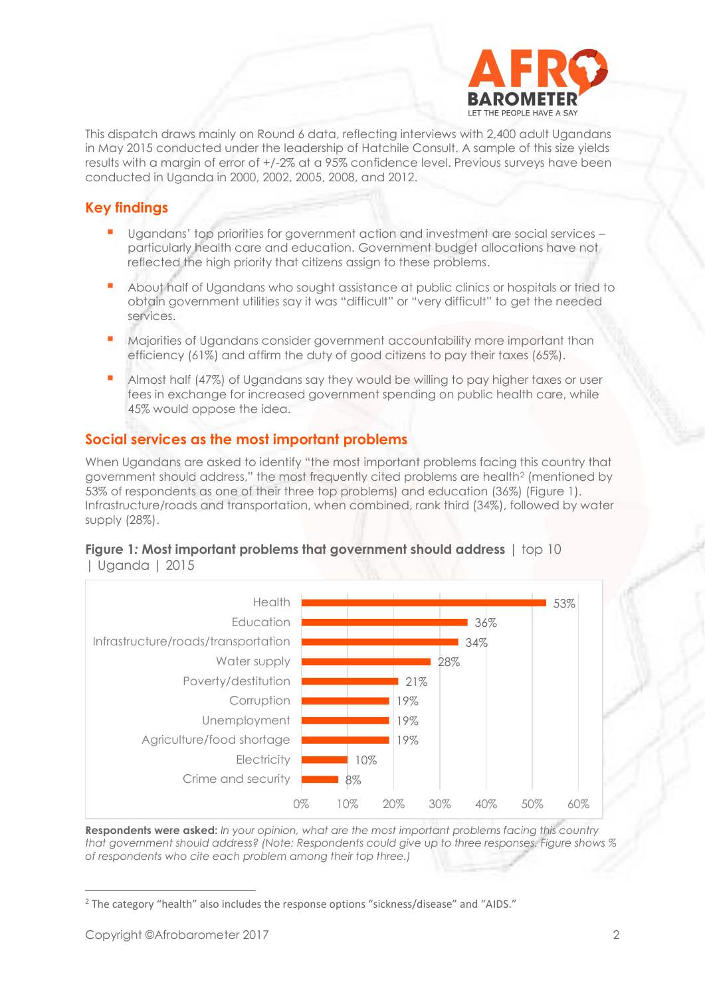

This dispatch draws mainly on Round 6 data, reflecting interviews with 2,400 adult Ugandans in May 2015 conducted under the leadership of Hatchile Consult. A sample of this size yields results with a margin of error of +/-2% at a 95% confidence level. Previous surveys have been conducted in Uganda in 2000, 2002, 2005, 2008, and 2012.

# **Key findings**

- Ugandans' top priorities for government action and investment are social services particularly health care and education. Government budget allocations have not reflected the high priority that citizens assign to these problems.
- About half of Ugandans who sought assistance at public clinics or hospitals or tried to obtain government utilities say it was "difficult" or "very difficult" to get the needed services.
- Majorities of Ugandans consider government accountability more important than efficiency (61%) and affirm the duty of good citizens to pay their taxes (65%).
- Almost half (47%) of Ugandans say they would be willing to pay higher taxes or user fees in exchange for increased government spending on public health care, while 45% would oppose the idea.

# **Social services as the most important problems**

When Ugandans are asked to identify "the most important problems facing this country that government should address," the most frequently cited problems are health<sup>2</sup> (mentioned by 53% of respondents as one of their three top problems) and education (36%) (Figure 1). Infrastructure/roads and transportation, when combined, rank third (34%), followed by water supply (28%).



#### **Figure 1***:* **Most important problems that government should address** | top 10 | Uganda | 2015

**Respondents were asked:** *In your opinion, what are the most important problems facing this country that government should address? (Note: Respondents could give up to three responses. Figure shows % of respondents who cite each problem among their top three.)*

<sup>2</sup> The category "health" also includes the response options "sickness/disease" and "AIDS."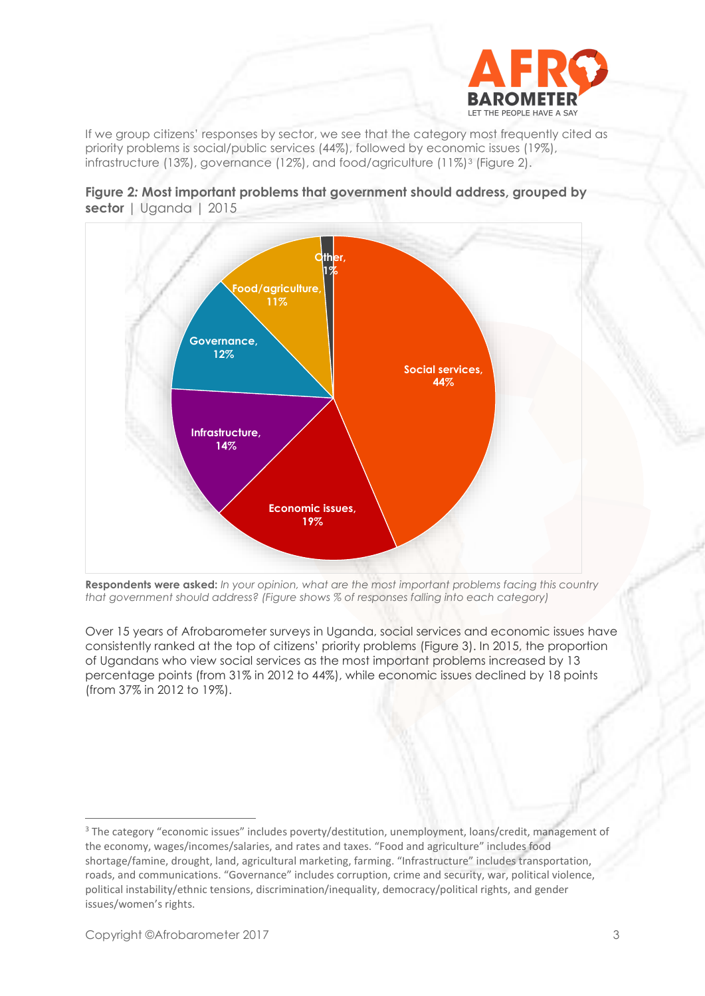

If we group citizens' responses by sector, we see that the category most frequently cited as priority problems is social/public services (44%), followed by economic issues (19%), infrastructure (13%), governance (12%), and food/agriculture (11%)<sup>3</sup> (Figure 2).





**Respondents were asked:** *In your opinion, what are the most important problems facing this country that government should address? (Figure shows % of responses falling into each category)*

Over 15 years of Afrobarometer surveys in Uganda, social services and economic issues have consistently ranked at the top of citizens' priority problems (Figure 3). In 2015, the proportion of Ugandans who view social services as the most important problems increased by 13 percentage points (from 31% in 2012 to 44%), while economic issues declined by 18 points (from 37% in 2012 to 19%).

<sup>&</sup>lt;sup>3</sup> The category "economic issues" includes poverty/destitution, unemployment, loans/credit, management of the economy, wages/incomes/salaries, and rates and taxes. "Food and agriculture" includes food shortage/famine, drought, land, agricultural marketing, farming. "Infrastructure" includes transportation, roads, and communications. "Governance" includes corruption, crime and security, war, political violence, political instability/ethnic tensions, discrimination/inequality, democracy/political rights, and gender issues/women's rights.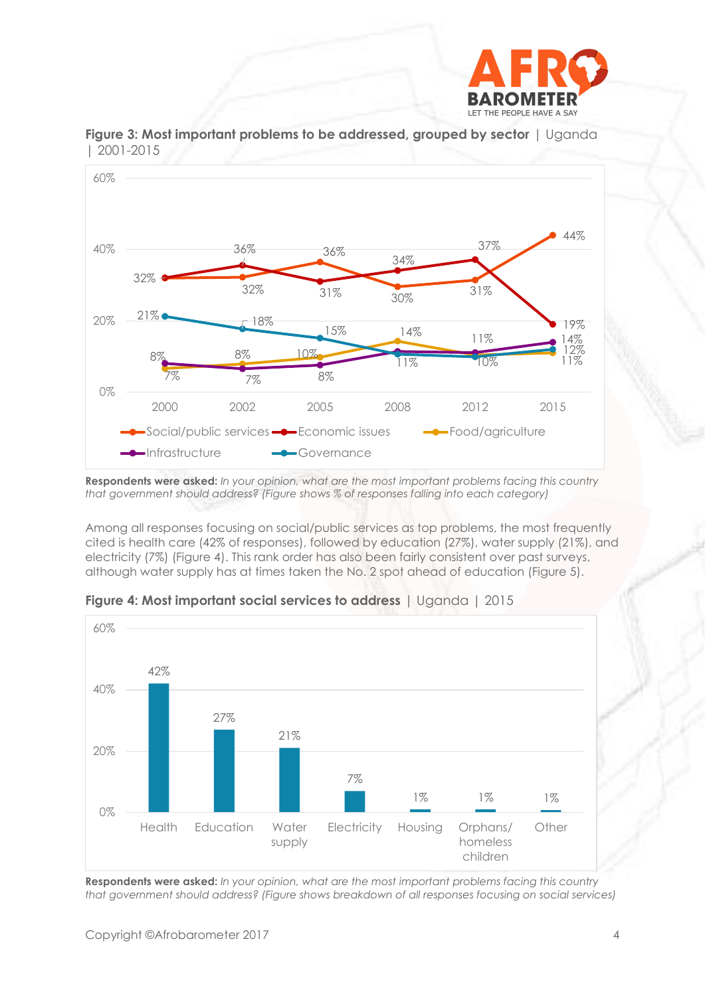



**Figure 3: Most important problems to be addressed, grouped by sector** | Uganda | 2001-2015

**Respondents were asked:** *In your opinion, what are the most important problems facing this country that government should address? (Figure shows % of responses falling into each category)*

Among all responses focusing on social/public services as top problems, the most frequently cited is health care (42% of responses), followed by education (27%), water supply (21%), and electricity (7%) (Figure 4). This rank order has also been fairly consistent over past surveys, although water supply has at times taken the No. 2 spot ahead of education (Figure 5).



**Figure 4: Most important social services to address** *|* Uganda | 2015

**Respondents were asked:** *In your opinion, what are the most important problems facing this country that government should address? (Figure shows breakdown of all responses focusing on social services)*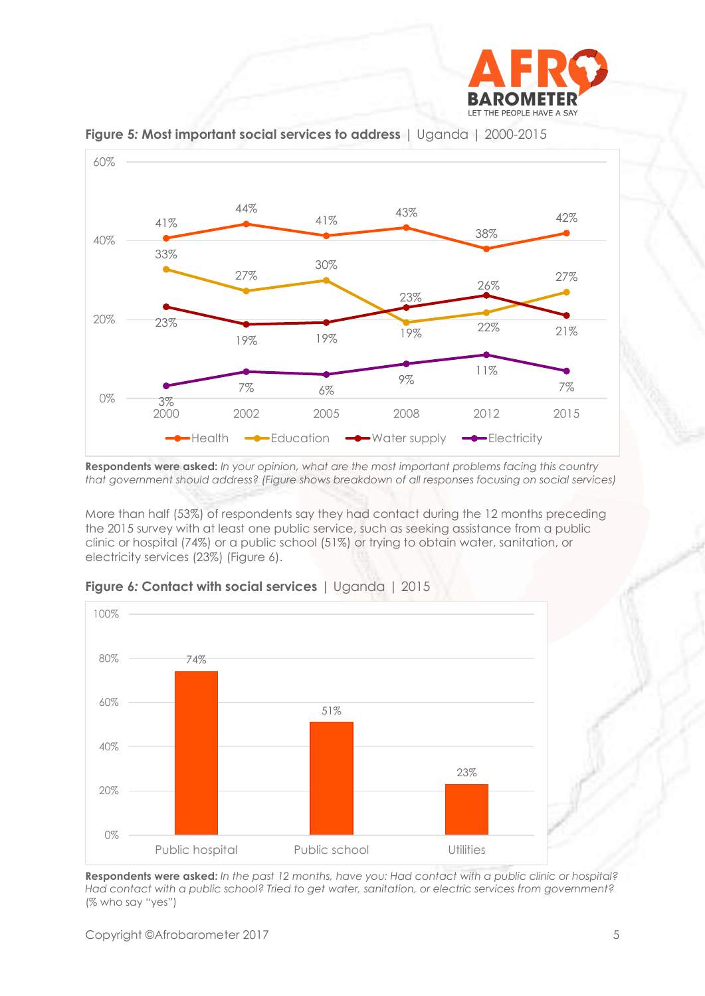



**Figure 5***:* **Most important social services to address** | Uganda | 2000-2015

**Respondents were asked:** *In your opinion, what are the most important problems facing this country that government should address? (Figure shows breakdown of all responses focusing on social services)*

More than half (53%) of respondents say they had contact during the 12 months preceding the 2015 survey with at least one public service, such as seeking assistance from a public clinic or hospital (74%) or a public school (51%) or trying to obtain water, sanitation, or electricity services (23%) (Figure 6).



**Figure 6***:* **Contact with social services** | Uganda | 2015

**Respondents were asked:** *In the past 12 months, have you: Had contact with a public clinic or hospital? Had contact with a public school? Tried to get water, sanitation, or electric services from government?*  (% who say "yes")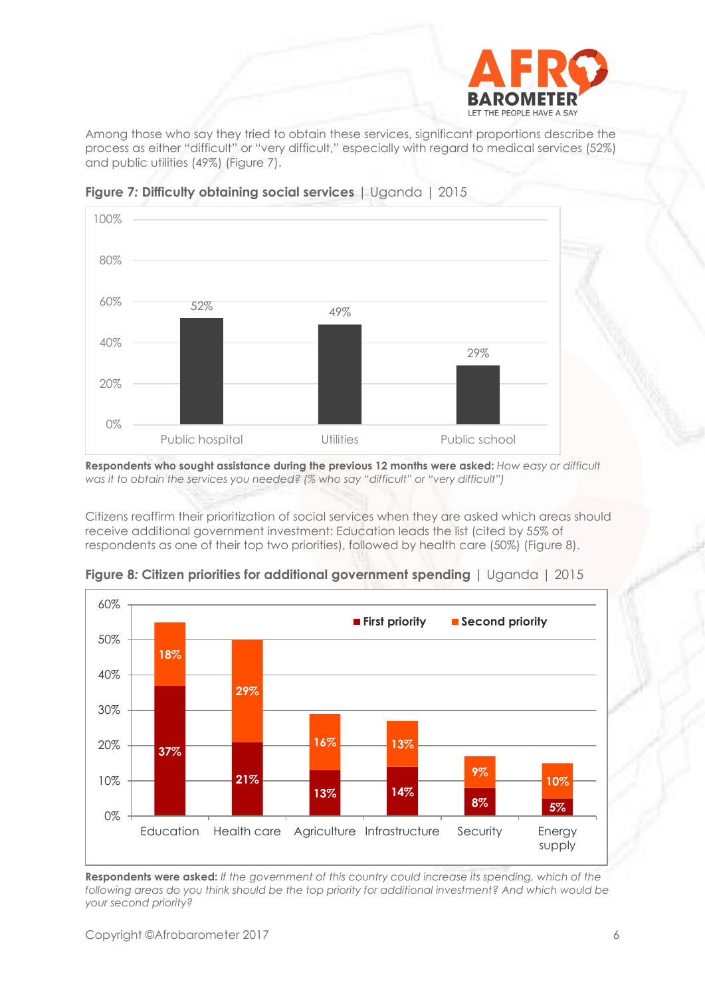

Among those who say they tried to obtain these services, significant proportions describe the process as either "difficult" or "very difficult," especially with regard to medical services (52%) and public utilities (49%) (Figure 7).



**Figure 7***:* **Difficulty obtaining social services** | Uganda | 2015

**Respondents who sought assistance during the previous 12 months were asked:** *How easy or difficult was it to obtain the services you needed? (% who say "difficult" or "very difficult")*

Citizens reaffirm their prioritization of social services when they are asked which areas should receive additional government investment: Education leads the list (cited by 55% of respondents as one of their top two priorities), followed by health care (50%) (Figure 8).



**Figure 8***:* **Citizen priorities for additional government spending** | Uganda | 2015

**Respondents were asked:** *If the government of this country could increase its spending, which of the following areas do you think should be the top priority for additional investment? And which would be your second priority?*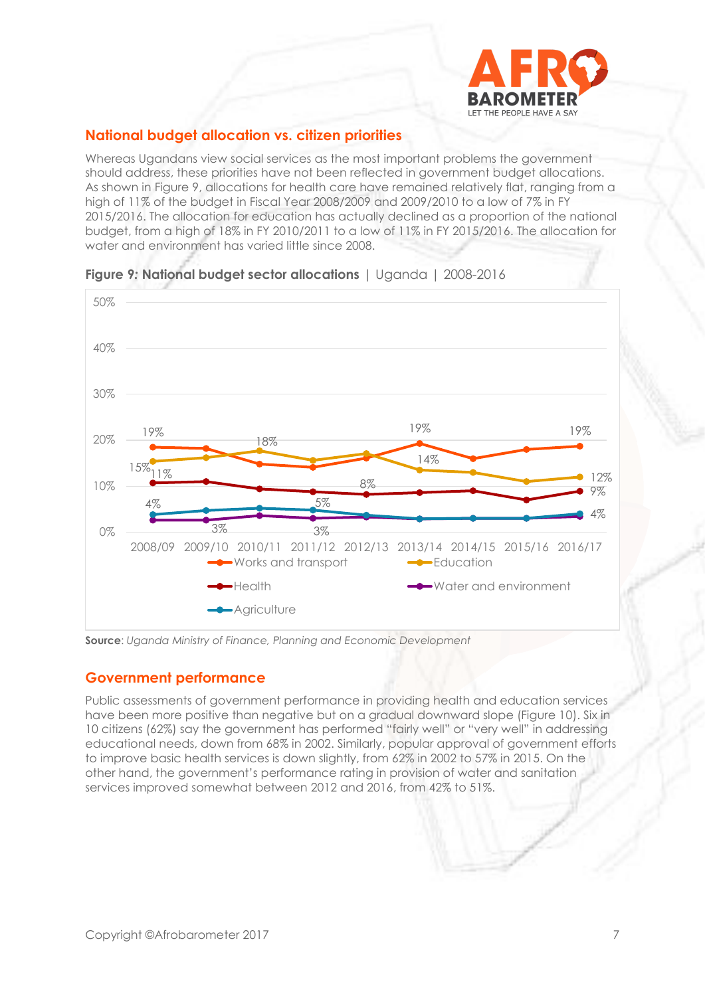

# **National budget allocation vs. citizen priorities**

Whereas Ugandans view social services as the most important problems the government should address, these priorities have not been reflected in government budget allocations. As shown in Figure 9, allocations for health care have remained relatively flat, ranging from a high of 11% of the budget in Fiscal Year 2008/2009 and 2009/2010 to a low of 7% in FY 2015/2016. The allocation for education has actually declined as a proportion of the national budget, from a high of 18% in FY 2010/2011 to a low of 11% in FY 2015/2016. The allocation for water and environment has varied little since 2008.





**Source**: *Uganda Ministry of Finance, Planning and Economic Development*

#### **Government performance**

Public assessments of government performance in providing health and education services have been more positive than negative but on a gradual downward slope (Figure 10). Six in 10 citizens (62%) say the government has performed "fairly well" or "very well" in addressing educational needs, down from 68% in 2002. Similarly, popular approval of government efforts to improve basic health services is down slightly, from 62% in 2002 to 57% in 2015. On the other hand, the government's performance rating in provision of water and sanitation services improved somewhat between 2012 and 2016, from 42% to 51%.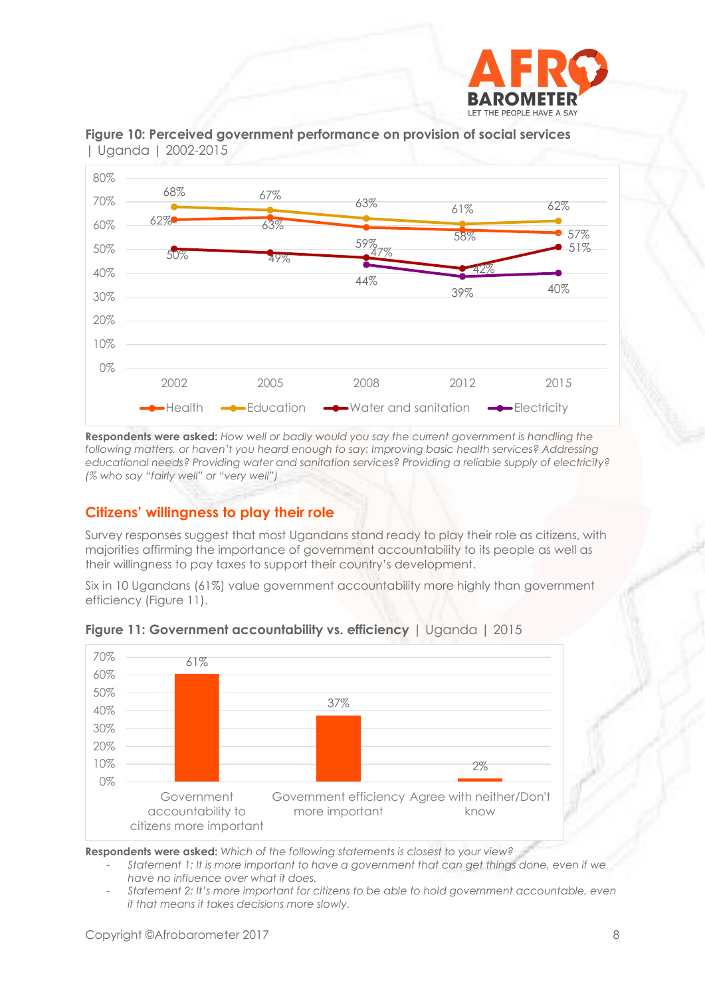



**Figure 10: Perceived government performance on provision of social services**  | Uganda | 2002-2015

**Respondents were asked:** *How well or badly would you say the current government is handling the following matters, or haven't you heard enough to say: Improving basic health services? Addressing educational needs? Providing water and sanitation services? Providing a reliable supply of electricity? (% who say "fairly well" or "very well")*

### **Citizens' willingness to play their role**

Survey responses suggest that most Ugandans stand ready to play their role as citizens, with majorities affirming the importance of government accountability to its people as well as their willingness to pay taxes to support their country's development.

Six in 10 Ugandans (61%) value government accountability more highly than government efficiency (Figure 11).



**Figure 11: Government accountability vs. efficiency** | Uganda | 2015

**Respondents were asked:** *Which of the following statements is closest to your view?*

- *Statement 1: It is more important to have a government that can get things done, even if we have no influence over what it does.*
- *Statement 2: It's more important for citizens to be able to hold government accountable, even if that means it takes decisions more slowly.*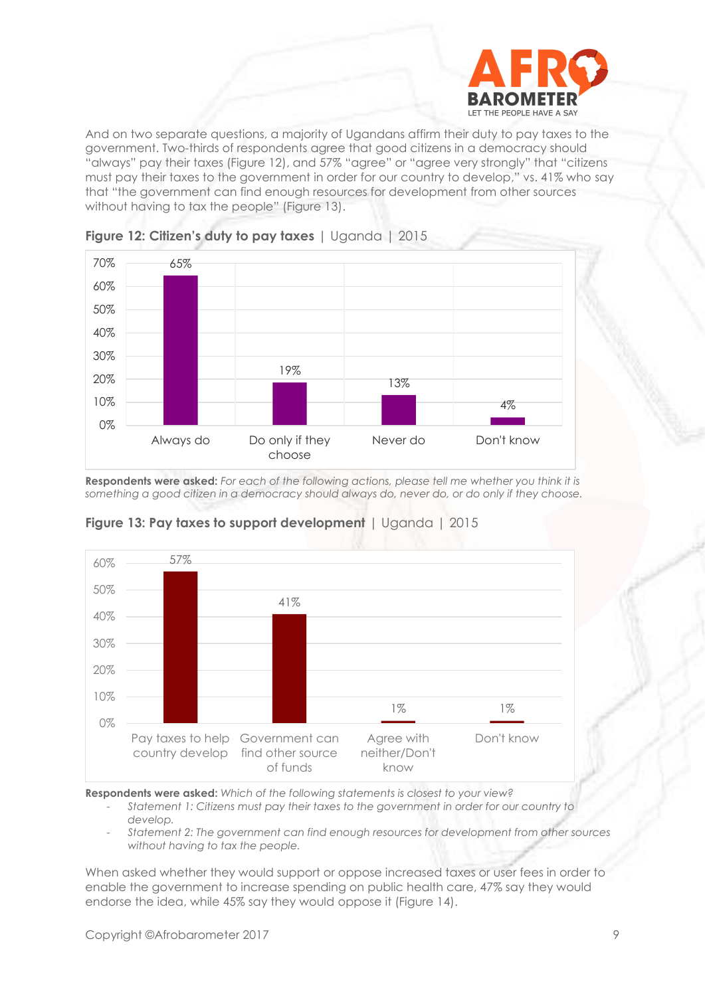

And on two separate questions, a majority of Ugandans affirm their duty to pay taxes to the government. Two-thirds of respondents agree that good citizens in a democracy should "always" pay their taxes (Figure 12), and 57% "agree" or "agree very strongly" that "citizens must pay their taxes to the government in order for our country to develop," vs. 41% who say that "the government can find enough resources for development from other sources without having to tax the people" (Figure 13).





**Respondents were asked:** *For each of the following actions, please tell me whether you think it is something a good citizen in a democracy should always do, never do, or do only if they choose.*



#### **Figure 13: Pay taxes to support development** | Uganda | 2015

**Respondents were asked:** *Which of the following statements is closest to your view?*

- *Statement 1: Citizens must pay their taxes to the government in order for our country to develop.*
- *Statement 2: The government can find enough resources for development from other sources without having to tax the people.*

When asked whether they would support or oppose increased taxes or user fees in order to enable the government to increase spending on public health care, 47% say they would endorse the idea, while 45% say they would oppose it (Figure 14).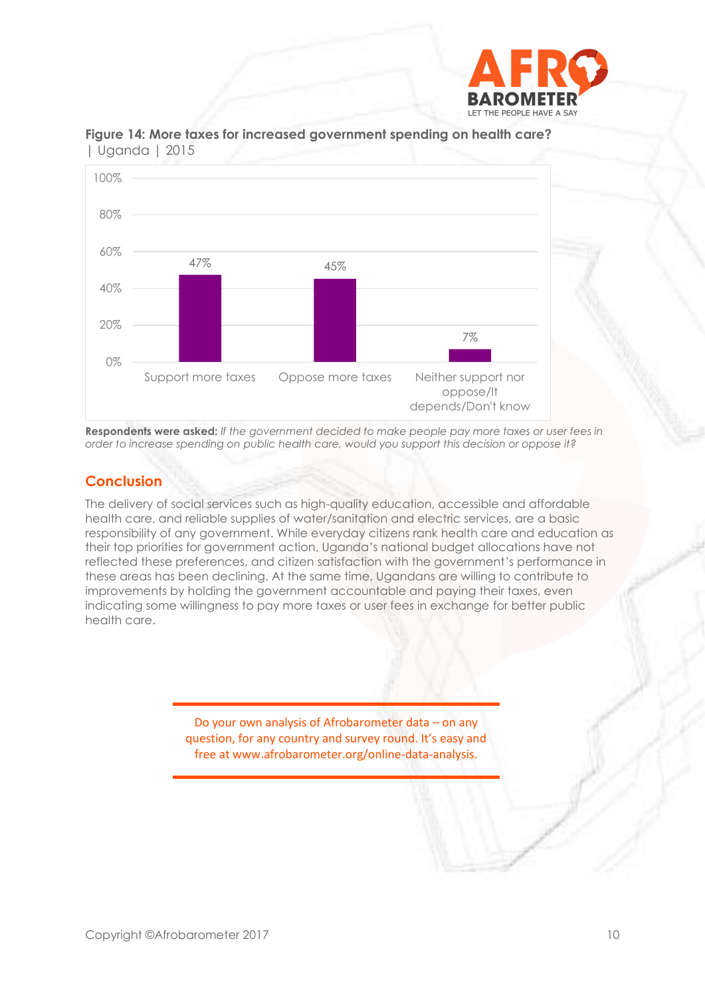



**Figure 14: More taxes for increased government spending on health care?**  | Uganda | 2015

**Respondents were asked:** *If the government decided to make people pay more taxes or user fees in order to increase spending on public health care, would you support this decision or oppose it?*

# **Conclusion**

The delivery of social services such as high-quality education, accessible and affordable health care, and reliable supplies of water/sanitation and electric services, are a basic responsibility of any government. While everyday citizens rank health care and education as their top priorities for government action, Uganda's national budget allocations have not reflected these preferences, and citizen satisfaction with the government's performance in these areas has been declining. At the same time, Ugandans are willing to contribute to improvements by holding the government accountable and paying their taxes, even indicating some willingness to pay more taxes or user fees in exchange for better public health care.

> Do your own analysis of Afrobarometer data – on any question, for any country and survey round. It's easy and free at www.afrobarometer.org/online-data-analysis.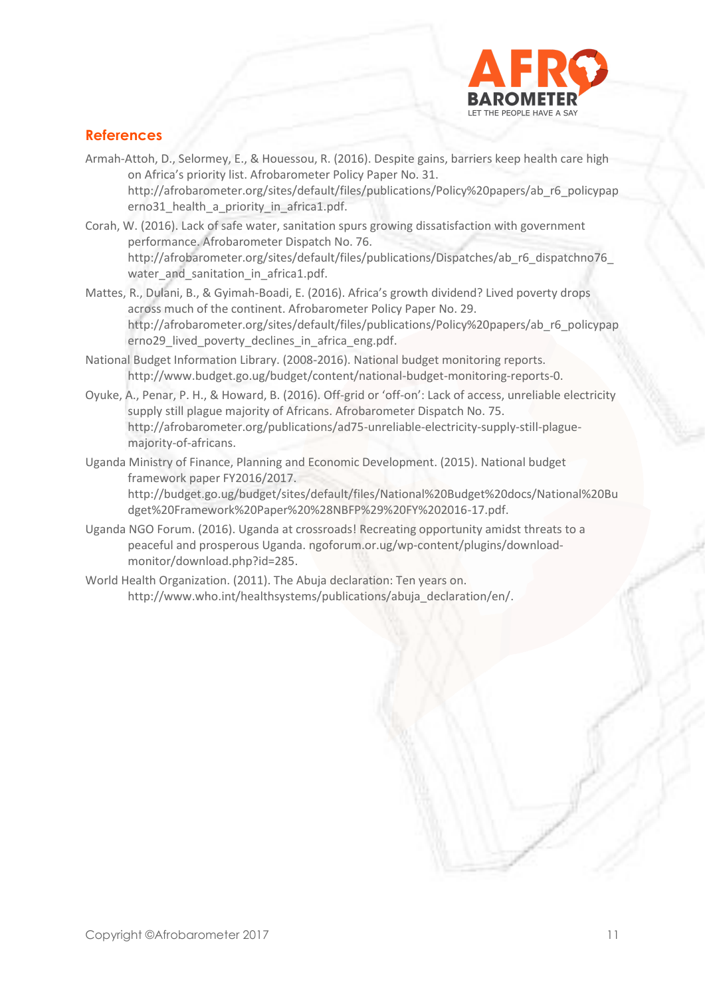

# **References**

- Armah-Attoh, D., Selormey, E., & Houessou, R. (2016). Despite gains, barriers keep health care high on Africa's priority list. Afrobarometer Policy Paper No. 31. [http://afrobarometer.org/sites/default/files/publications/Policy%20papers/ab\\_r6\\_policypap](http://afrobarometer.org/sites/default/files/publications/Policy%20papers/ab_r6_policypaperno31_health_a_priority_in_africa1.pdf) erno31 health a priority in africa1.pdf.
- Corah, W. (2016). Lack of safe water, sanitation spurs growing dissatisfaction with government performance. Afrobarometer Dispatch No. 76. http://afrobarometer.org/sites/default/files/publications/Dispatches/ab\_r6\_dispatchno76 water and sanitation in africa1.pdf.
- Mattes, R., Dulani, B., & Gyimah-Boadi, E. (2016). Africa's growth dividend? Lived poverty drops across much of the continent. Afrobarometer Policy Paper No. 29. [http://afrobarometer.org/sites/default/files/publications/Policy%20papers/ab\\_r6\\_policypap](http://afrobarometer.org/sites/default/files/publications/Policy%20papers/ab_r6_policypaperno29_lived_poverty_declines_in_africa_eng.pdf) [erno29\\_lived\\_poverty\\_declines\\_in\\_africa\\_eng.pdf.](http://afrobarometer.org/sites/default/files/publications/Policy%20papers/ab_r6_policypaperno29_lived_poverty_declines_in_africa_eng.pdf)
- National Budget Information Library. (2008-2016). National budget monitoring reports. [http://www.budget.go.ug/budget/content/national-budget-monitoring-reports-0.](http://www.budget.go.ug/budget/content/national-budget-monitoring-reports-0)
- Oyuke, A., Penar, P. H., & Howard, B. (2016). Off-grid or 'off-on': Lack of access, unreliable electricity supply still plague majority of Africans. Afrobarometer Dispatch No. 75. [http://afrobarometer.org/publications/ad75-unreliable-electricity-supply-still-plague](http://afrobarometer.org/publications/ad75-unreliable-electricity-supply-still-plague-majority-of-africans)[majority-of-africans.](http://afrobarometer.org/publications/ad75-unreliable-electricity-supply-still-plague-majority-of-africans)
- Uganda Ministry of Finance, Planning and Economic Development. (2015). National budget framework paper FY2016/2017.

[http://budget.go.ug/budget/sites/default/files/National%20Budget%20docs/National%20Bu](http://budget.go.ug/budget/sites/default/files/National%20Budget%20docs/National%20Budget%20Framework%20Paper%20%28NBFP%29%20FY%202016-17.pdf) [dget%20Framework%20Paper%20%28NBFP%29%20FY%202016-17.pdf.](http://budget.go.ug/budget/sites/default/files/National%20Budget%20docs/National%20Budget%20Framework%20Paper%20%28NBFP%29%20FY%202016-17.pdf)

- Uganda NGO Forum. (2016). Uganda at crossroads! Recreating opportunity amidst threats to a peaceful and prosperous Uganda. [ngoforum.or.ug/wp-content/plugins/download](file:///C:/Users/BrianHoward/Downloads/ngoforum.or.ug/wp-content/plugins/download-monitor/download.php%3fid=285)[monitor/download.php?id=285.](file:///C:/Users/BrianHoward/Downloads/ngoforum.or.ug/wp-content/plugins/download-monitor/download.php%3fid=285)
- World Health Organization. (2011). The Abuja declaration: Ten years on. [http://www.who.int/healthsystems/publications/abuja\\_declaration/en/.](http://www.who.int/healthsystems/publications/abuja_declaration/en/)